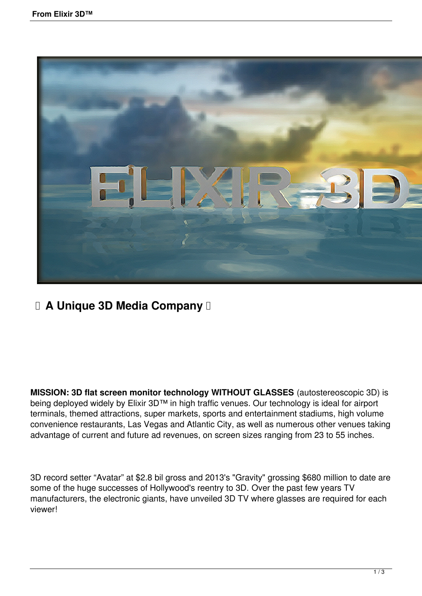

## **E A Unique 3D Media Company II**

**MISSION: 3D flat screen monitor technology WITHOUT GLASSES** (autostereoscopic 3D) is being deployed widely by Elixir 3D™ in high traffic venues. Our technology is ideal for airport terminals, themed attractions, super markets, sports and entertainment stadiums, high volume convenience restaurants, Las Vegas and Atlantic City, as well as numerous other venues taking advantage of current and future ad revenues, on screen sizes ranging from 23 to 55 inches.

3D record setter "Avatar" at \$2.8 bil gross and 2013's "Gravity" grossing \$680 million to date are some of the huge successes of Hollywood's reentry to 3D. Over the past few years TV manufacturers, the electronic giants, have unveiled 3D TV where glasses are required for each viewer!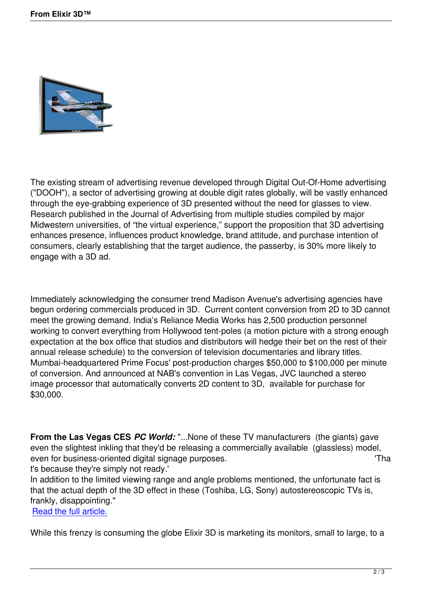

The existing stream of advertising revenue developed through Digital Out-Of-Home advertising ("DOOH"), a sector of advertising growing at double digit rates globally, will be vastly enhanced through the eye-grabbing experience of 3D presented without the need for glasses to view. Research published in the Journal of Advertising from multiple studies compiled by major Midwestern universities, of "the virtual experience," support the proposition that 3D advertising enhances presence, influences product knowledge, brand attitude, and purchase intention of consumers, clearly establishing that the target audience, the passerby, is 30% more likely to engage with a 3D ad.

Immediately acknowledging the consumer trend Madison Avenue's advertising agencies have begun ordering commercials produced in 3D. Current content conversion from 2D to 3D cannot meet the growing demand. India's Reliance Media Works has 2,500 production personnel working to convert everything from Hollywood tent-poles (a motion picture with a strong enough expectation at the box office that studios and distributors will hedge their bet on the rest of their annual release schedule) to the conversion of television documentaries and library titles. Mumbai-headquartered Prime Focus' post-production charges \$50,000 to \$100,000 per minute of conversion. And announced at NAB's convention in Las Vegas, JVC launched a stereo image processor that automatically converts 2D content to 3D, available for purchase for \$30,000.

**From the Las Vegas CES** *PC World:* "...None of these TV manufacturers (the giants) gave even the slightest inkling that they'd be releasing a commercially available (glassless) model, even for business-oriented digital signage purposes. The state of the state of the state of the state of the state of the state of the state of the state of the state of the state of the state of the state of the state of

t's because they're simply not ready.'

In addition to the limited viewing range and angle problems mentioned, the unfortunate fact is that the actual depth of the 3D effect in these (Toshiba, LG, Sony) autostereoscopic TVs is, frankly, disappointing."

Read the full article.

While this frenzy is consuming the globe Elixir 3D is marketing its monitors, small to large, to a